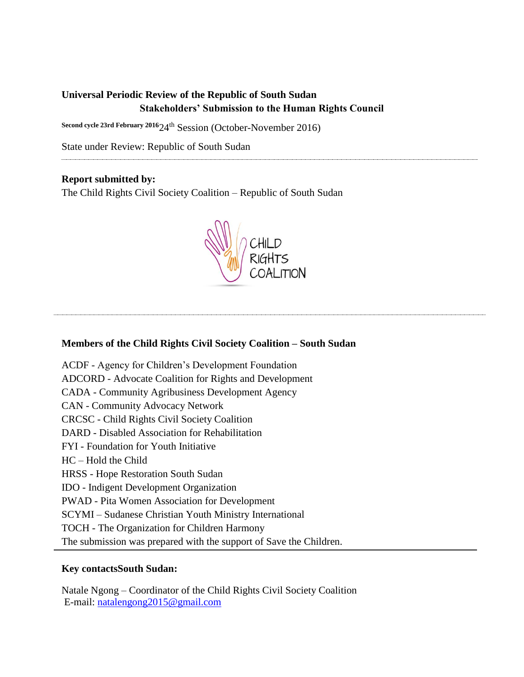# **Universal Periodic Review of the Republic of South Sudan Stakeholders' Submission to the Human Rights Council**

**Second cycle 23rd February 2016**24th Session (October-November 2016)

State under Review: Republic of South Sudan

# **Report submitted by:**

The Child Rights Civil Society Coalition – Republic of South Sudan



# **Members of the Child Rights Civil Society Coalition – South Sudan**

ACDF - Agency for Children's Development Foundation ADCORD - Advocate Coalition for Rights and Development CADA - Community Agribusiness Development Agency CAN - Community Advocacy Network CRCSC - Child Rights Civil Society Coalition DARD - Disabled Association for Rehabilitation FYI - Foundation for Youth Initiative HC – Hold the Child HRSS - Hope Restoration South Sudan IDO - Indigent Development Organization PWAD - Pita Women Association for Development SCYMI – Sudanese Christian Youth Ministry International TOCH - The Organization for Children Harmony The submission was prepared with the support of Save the Children.

# **Key contactsSouth Sudan:**

Natale Ngong – Coordinator of the Child Rights Civil Society Coalition E-mail: [natalengong2015@gmail.com](mailto:natalengong2015@gmail.com)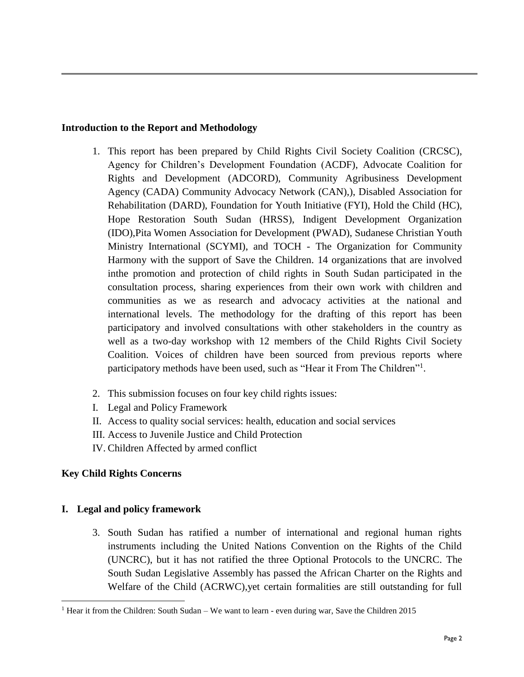# **Introduction to the Report and Methodology**

- 1. This report has been prepared by Child Rights Civil Society Coalition (CRCSC), Agency for Children's Development Foundation (ACDF), Advocate Coalition for Rights and Development (ADCORD), Community Agribusiness Development Agency (CADA) Community Advocacy Network (CAN),), Disabled Association for Rehabilitation (DARD), Foundation for Youth Initiative (FYI), Hold the Child (HC), Hope Restoration South Sudan (HRSS), Indigent Development Organization (IDO),Pita Women Association for Development (PWAD), Sudanese Christian Youth Ministry International (SCYMI), and TOCH - The Organization for Community Harmony with the support of Save the Children. 14 organizations that are involved inthe promotion and protection of child rights in South Sudan participated in the consultation process, sharing experiences from their own work with children and communities as we as research and advocacy activities at the national and international levels. The methodology for the drafting of this report has been participatory and involved consultations with other stakeholders in the country as well as a two-day workshop with 12 members of the Child Rights Civil Society Coalition. Voices of children have been sourced from previous reports where participatory methods have been used, such as "Hear it From The Children"<sup>1</sup>.
- 2. This submission focuses on four key child rights issues:
- I. Legal and Policy Framework
- II. Access to quality social services: health, education and social services
- III. Access to Juvenile Justice and Child Protection
- IV. Children Affected by armed conflict

# **Key Child Rights Concerns**

# **I. Legal and policy framework**

3. South Sudan has ratified a number of international and regional human rights instruments including the United Nations Convention on the Rights of the Child (UNCRC), but it has not ratified the three Optional Protocols to the UNCRC. The South Sudan Legislative Assembly has passed the African Charter on the Rights and Welfare of the Child (ACRWC),yet certain formalities are still outstanding for full

 $\overline{\phantom{a}}$ <sup>1</sup> Hear it from the Children: South Sudan – We want to learn - even during war, Save the Children 2015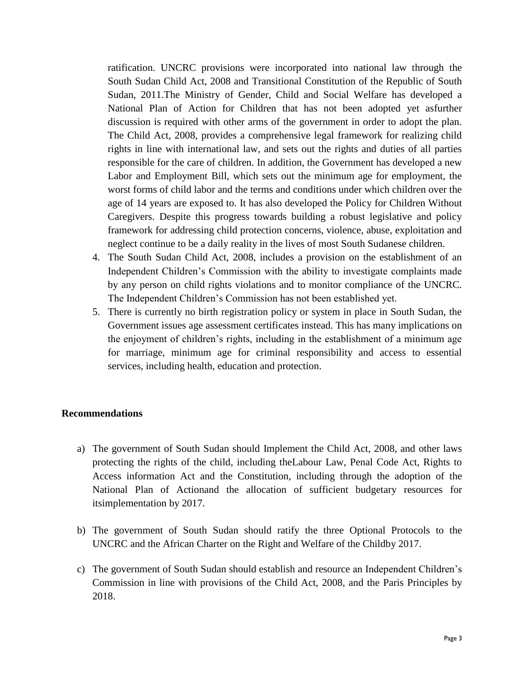ratification. UNCRC provisions were incorporated into national law through the South Sudan Child Act, 2008 and Transitional Constitution of the Republic of South Sudan, 2011.The Ministry of Gender, Child and Social Welfare has developed a National Plan of Action for Children that has not been adopted yet asfurther discussion is required with other arms of the government in order to adopt the plan. The Child Act, 2008, provides a comprehensive legal framework for realizing child rights in line with international law, and sets out the rights and duties of all parties responsible for the care of children. In addition, the Government has developed a new Labor and Employment Bill, which sets out the minimum age for employment, the worst forms of child labor and the terms and conditions under which children over the age of 14 years are exposed to. It has also developed the Policy for Children Without Caregivers. Despite this progress towards building a robust legislative and policy framework for addressing child protection concerns, violence, abuse, exploitation and neglect continue to be a daily reality in the lives of most South Sudanese children.

- 4. The South Sudan Child Act, 2008, includes a provision on the establishment of an Independent Children's Commission with the ability to investigate complaints made by any person on child rights violations and to monitor compliance of the UNCRC. The Independent Children's Commission has not been established yet.
- 5. There is currently no birth registration policy or system in place in South Sudan, the Government issues age assessment certificates instead. This has many implications on the enjoyment of children's rights, including in the establishment of a minimum age for marriage, minimum age for criminal responsibility and access to essential services, including health, education and protection.

#### **Recommendations**

- a) The government of South Sudan should Implement the Child Act, 2008, and other laws protecting the rights of the child, including theLabour Law, Penal Code Act, Rights to Access information Act and the Constitution, including through the adoption of the National Plan of Actionand the allocation of sufficient budgetary resources for itsimplementation by 2017.
- b) The government of South Sudan should ratify the three Optional Protocols to the UNCRC and the African Charter on the Right and Welfare of the Childby 2017.
- c) The government of South Sudan should establish and resource an Independent Children's Commission in line with provisions of the Child Act, 2008, and the Paris Principles by 2018.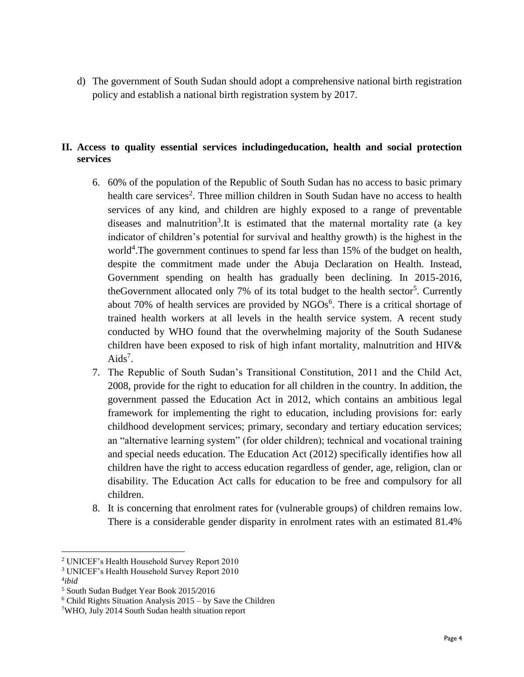d) The government of South Sudan should adopt a comprehensive national birth registration policy and establish a national birth registration system by 2017.

# **II. Access to quality essential services includingeducation, health and social protection services**

- 6. 60% of the population of the Republic of South Sudan has no access to basic primary health care services<sup>2</sup>. Three million children in South Sudan have no access to health services of any kind, and children are highly exposed to a range of preventable diseases and malnutrition<sup>3</sup>. It is estimated that the maternal mortality rate (a key indicator of children's potential for survival and healthy growth) is the highest in the world<sup>4</sup>. The government continues to spend far less than 15% of the budget on health, despite the commitment made under the Abuja Declaration on Health. Instead, Government spending on health has gradually been declining. In 2015-2016, theGovernment allocated only 7% of its total budget to the health sector<sup>5</sup>. Currently about 70% of health services are provided by  $NGOs<sup>6</sup>$ . There is a critical shortage of trained health workers at all levels in the health service system. A recent study conducted by WHO found that the overwhelming majority of the South Sudanese children have been exposed to risk of high infant mortality, malnutrition and HIV&  $Aids<sup>7</sup>$ .
- 7. The Republic of South Sudan's Transitional Constitution, 2011 and the Child Act, 2008, provide for the right to education for all children in the country. In addition, the government passed the Education Act in 2012, which contains an ambitious legal framework for implementing the right to education, including provisions for: early childhood development services; primary, secondary and tertiary education services; an "alternative learning system" (for older children); technical and vocational training and special needs education. The Education Act (2012) specifically identifies how all children have the right to access education regardless of gender, age, religion, clan or disability. The Education Act calls for education to be free and compulsory for all children.
- 8. It is concerning that enrolment rates for (vulnerable groups) of children remains low. There is a considerable gender disparity in enrolment rates with an estimated 81.4%

4 *ibid*

l

<sup>2</sup> UNICEF's Health Household Survey Report 2010

<sup>3</sup> UNICEF's Health Household Survey Report 2010

<sup>5</sup> South Sudan Budget Year Book 2015/2016

 $6$  Child Rights Situation Analysis 2015 – by Save the Children

<sup>7</sup>WHO, July 2014 South Sudan health situation report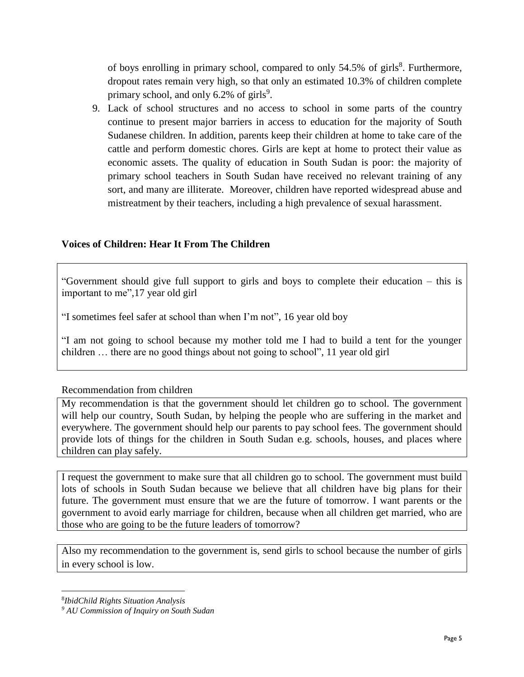of boys enrolling in primary school, compared to only 54.5% of girls<sup>8</sup>. Furthermore, dropout rates remain very high, so that only an estimated 10.3% of children complete primary school, and only 6.2% of girls<sup>9</sup>.

9. Lack of school structures and no access to school in some parts of the country continue to present major barriers in access to education for the majority of South Sudanese children. In addition, parents keep their children at home to take care of the cattle and perform domestic chores. Girls are kept at home to protect their value as economic assets. The quality of education in South Sudan is poor: the majority of primary school teachers in South Sudan have received no relevant training of any sort, and many are illiterate. Moreover, children have reported widespread abuse and mistreatment by their teachers, including a high prevalence of sexual harassment.

## **Voices of Children: Hear It From The Children**

"Government should give full support to girls and boys to complete their education – this is important to me",17 year old girl

"I sometimes feel safer at school than when I'm not", 16 year old boy

"I am not going to school because my mother told me I had to build a tent for the younger children … there are no good things about not going to school", 11 year old girl

#### Recommendation from children

My recommendation is that the government should let children go to school. The government will help our country, South Sudan, by helping the people who are suffering in the market and everywhere. The government should help our parents to pay school fees. The government should provide lots of things for the children in South Sudan e.g. schools, houses, and places where children can play safely.

I request the government to make sure that all children go to school. The government must build lots of schools in South Sudan because we believe that all children have big plans for their future. The government must ensure that we are the future of tomorrow. I want parents or the government to avoid early marriage for children, because when all children get married, who are those who are going to be the future leaders of tomorrow?

Also my recommendation to the government is, send girls to school because the number of girls in every school is low.

 $\overline{\phantom{a}}$ 

<sup>8</sup> *IbidChild Rights Situation Analysis*

*<sup>9</sup> AU Commission of Inquiry on South Sudan*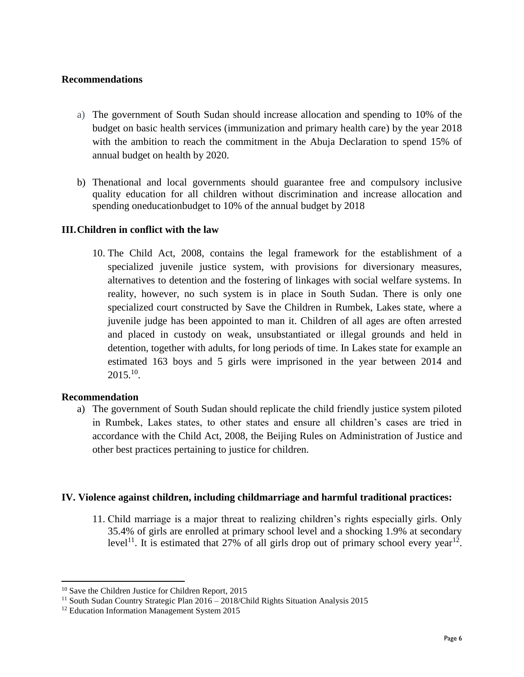## **Recommendations**

- a) The government of South Sudan should increase allocation and spending to 10% of the budget on basic health services (immunization and primary health care) by the year 2018 with the ambition to reach the commitment in the Abuja Declaration to spend 15% of annual budget on health by 2020.
- b) Thenational and local governments should guarantee free and compulsory inclusive quality education for all children without discrimination and increase allocation and spending oneducationbudget to 10% of the annual budget by 2018

## **III.Children in conflict with the law**

10. The Child Act, 2008, contains the legal framework for the establishment of a specialized juvenile justice system, with provisions for diversionary measures, alternatives to detention and the fostering of linkages with social welfare systems. In reality, however, no such system is in place in South Sudan. There is only one specialized court constructed by Save the Children in Rumbek, Lakes state, where a juvenile judge has been appointed to man it. Children of all ages are often arrested and placed in custody on weak, unsubstantiated or illegal grounds and held in detention, together with adults, for long periods of time. In Lakes state for example an estimated 163 boys and 5 girls were imprisoned in the year between 2014 and  $2015.^{10}$ .

#### **Recommendation**

 $\overline{\phantom{a}}$ 

a) The government of South Sudan should replicate the child friendly justice system piloted in Rumbek, Lakes states, to other states and ensure all children's cases are tried in accordance with the Child Act, 2008, the Beijing Rules on Administration of Justice and other best practices pertaining to justice for children.

#### **IV. Violence against children, including childmarriage and harmful traditional practices:**

11. Child marriage is a major threat to realizing children's rights especially girls. Only 35.4% of girls are enrolled at primary school level and a shocking 1.9% at secondary level<sup>11</sup>. It is estimated that 27% of all girls drop out of primary school every year<sup>12</sup>.

<sup>10</sup> Save the Children Justice for Children Report, 2015

<sup>&</sup>lt;sup>11</sup> South Sudan Country Strategic Plan  $2016 - 2018$ /Child Rights Situation Analysis 2015

<sup>&</sup>lt;sup>12</sup> Education Information Management System 2015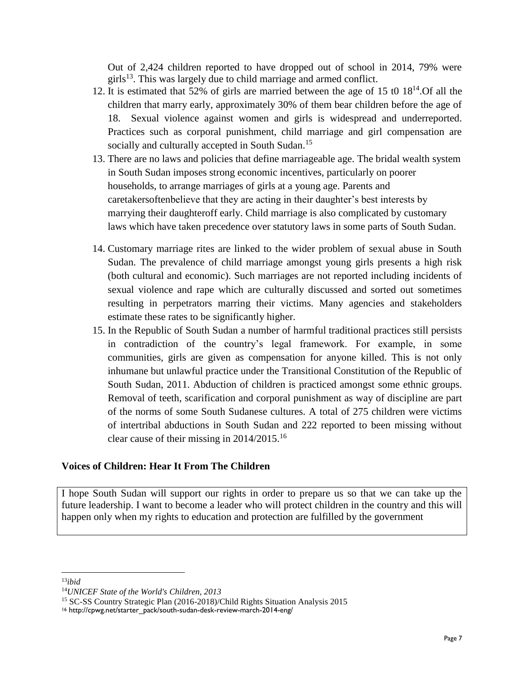Out of 2,424 children reported to have dropped out of school in 2014, 79% were girls<sup>13</sup>. This was largely due to child marriage and armed conflict.

- 12. It is estimated that 52% of girls are married between the age of 15 t0 18<sup>14</sup> .Of all the children that marry early, approximately 30% of them bear children before the age of 18. Sexual violence against women and girls is widespread and underreported. Practices such as corporal punishment, child marriage and girl compensation are socially and culturally accepted in South Sudan.<sup>15</sup>
- 13. There are no laws and policies that define marriageable age. The bridal wealth system in South Sudan imposes strong economic incentives, particularly on poorer households, to arrange marriages of girls at a young age. Parents and caretakersoftenbelieve that they are acting in their daughter's best interests by marrying their daughteroff early. Child marriage is also complicated by customary laws which have taken precedence over statutory laws in some parts of South Sudan.
- 14. Customary marriage rites are linked to the wider problem of sexual abuse in South Sudan. The prevalence of child marriage amongst young girls presents a high risk (both cultural and economic). Such marriages are not reported including incidents of sexual violence and rape which are culturally discussed and sorted out sometimes resulting in perpetrators marring their victims. Many agencies and stakeholders estimate these rates to be significantly higher.
- 15. In the Republic of South Sudan a number of harmful traditional practices still persists in contradiction of the country's legal framework. For example, in some communities, girls are given as compensation for anyone killed. This is not only inhumane but unlawful practice under the Transitional Constitution of the Republic of South Sudan, 2011. Abduction of children is practiced amongst some ethnic groups. Removal of teeth, scarification and corporal punishment as way of discipline are part of the norms of some South Sudanese cultures. A total of 275 children were victims of intertribal abductions in South Sudan and 222 reported to been missing without clear cause of their missing in 2014/2015.<sup>16</sup>

# **Voices of Children: Hear It From The Children**

I hope South Sudan will support our rights in order to prepare us so that we can take up the future leadership. I want to become a leader who will protect children in the country and this will happen only when my rights to education and protection are fulfilled by the government

 $\overline{\phantom{a}}$ <sup>13</sup>*ibid*

<sup>14</sup>*UNICEF State of the World's Children, 2013*

<sup>15</sup> SC-SS Country Strategic Plan (2016-2018)/Child Rights Situation Analysis 2015

<sup>16</sup> http://cpwg.net/starter\_pack/south-sudan-desk-review-march-2014-eng/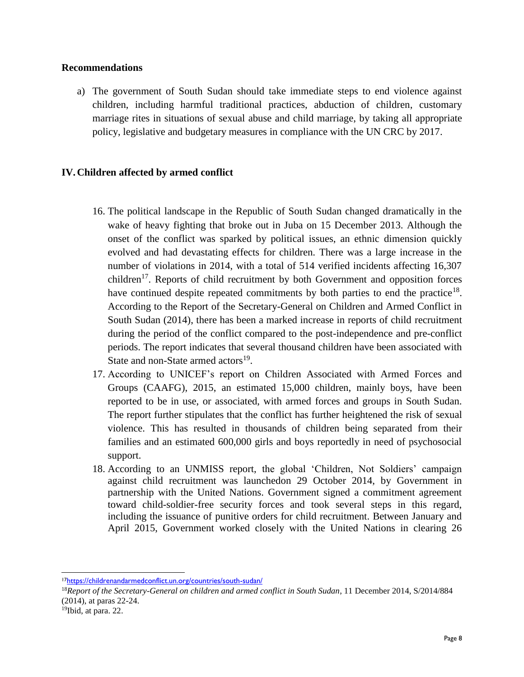#### **Recommendations**

a) The government of South Sudan should take immediate steps to end violence against children, including harmful traditional practices, abduction of children, customary marriage rites in situations of sexual abuse and child marriage, by taking all appropriate policy, legislative and budgetary measures in compliance with the UN CRC by 2017.

## **IV.Children affected by armed conflict**

- 16. The political landscape in the Republic of South Sudan changed dramatically in the wake of heavy fighting that broke out in Juba on 15 December 2013. Although the onset of the conflict was sparked by political issues, an ethnic dimension quickly evolved and had devastating effects for children. There was a large increase in the number of violations in 2014, with a total of 514 verified incidents affecting 16,307 children<sup>17</sup>. Reports of child recruitment by both Government and opposition forces have continued despite repeated commitments by both parties to end the practice<sup>18</sup>. According to the Report of the Secretary-General on Children and Armed Conflict in South Sudan (2014), there has been a marked increase in reports of child recruitment during the period of the conflict compared to the post-independence and pre-conflict periods. The report indicates that several thousand children have been associated with State and non-State armed actors<sup>19</sup>.
- 17. According to UNICEF's report on Children Associated with Armed Forces and Groups (CAAFG), 2015, an estimated 15,000 children, mainly boys, have been reported to be in use, or associated, with armed forces and groups in South Sudan. The report further stipulates that the conflict has further heightened the risk of sexual violence. This has resulted in thousands of children being separated from their families and an estimated 600,000 girls and boys reportedly in need of psychosocial support.
- 18. According to an UNMISS report, the global 'Children, Not Soldiers' campaign against child recruitment was launchedon 29 October 2014, by Government in partnership with the United Nations. Government signed a commitment agreement toward child-soldier-free security forces and took several steps in this regard, including the issuance of punitive orders for child recruitment. Between January and April 2015, Government worked closely with the United Nations in clearing 26

 $\overline{\phantom{a}}$ <sup>17</sup><https://childrenandarmedconflict.un.org/countries/south-sudan/>

<sup>18</sup>*Report of the Secretary-General on children and armed conflict in South Sudan*, 11 December 2014, S/2014/884 (2014), at paras 22-24.

<sup>&</sup>lt;sup>19</sup>Ibid, at para. 22.